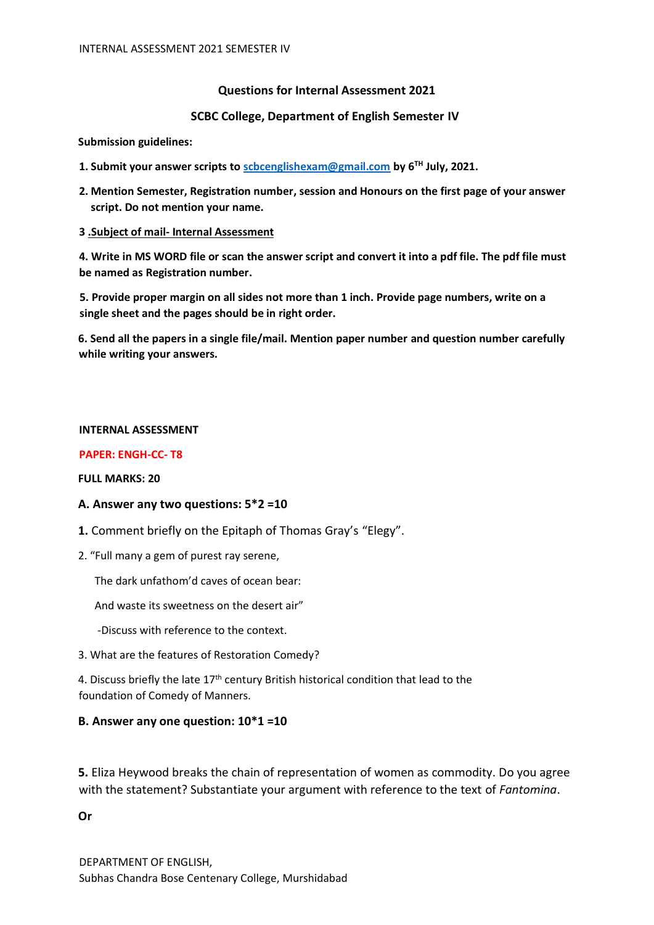### **Questions for Internal Assessment 2021**

#### **SCBC College, Department of English Semester IV**

#### **Submission guidelines:**

- **1. Submit your answer scripts to scbcenglishexam@gmail.com by 6TH July, 2021.**
- **2. Mention Semester, Registration number, session and Honours on the first page of your answer script. Do not mention your name.**

#### **3 .Subject of mail- Internal Assessment**

**4. Write in MS WORD file or scan the answer script and convert it into a pdf file. The pdf file must be named as Registration number.** 

**5. Provide proper margin on all sides not more than 1 inch. Provide page numbers, write on a single sheet and the pages should be in right order.** 

**6. Send all the papers in a single file/mail. Mention paper number and question number carefully while writing your answers.** 

#### **INTERNAL ASSESSMENT**

#### **PAPER: ENGH-CC- T8**

#### **FULL MARKS: 20**

#### **A. Answer any two questions: 5\*2 =10**

- **1.** Comment briefly on the Epitaph of Thomas Gray's "Elegy".
- 2. "Full many a gem of purest ray serene,

The dark unfathom'd caves of ocean bear:

And waste its sweetness on the desert air"

- -Discuss with reference to the context.
- 3. What are the features of Restoration Comedy?

4. Discuss briefly the late  $17<sup>th</sup>$  century British historical condition that lead to the foundation of Comedy of Manners.

#### **B. Answer any one question: 10\*1 =10**

**5.** Eliza Heywood breaks the chain of representation of women as commodity. Do you agree with the statement? Substantiate your argument with reference to the text of *Fantomina*.

#### **Or**